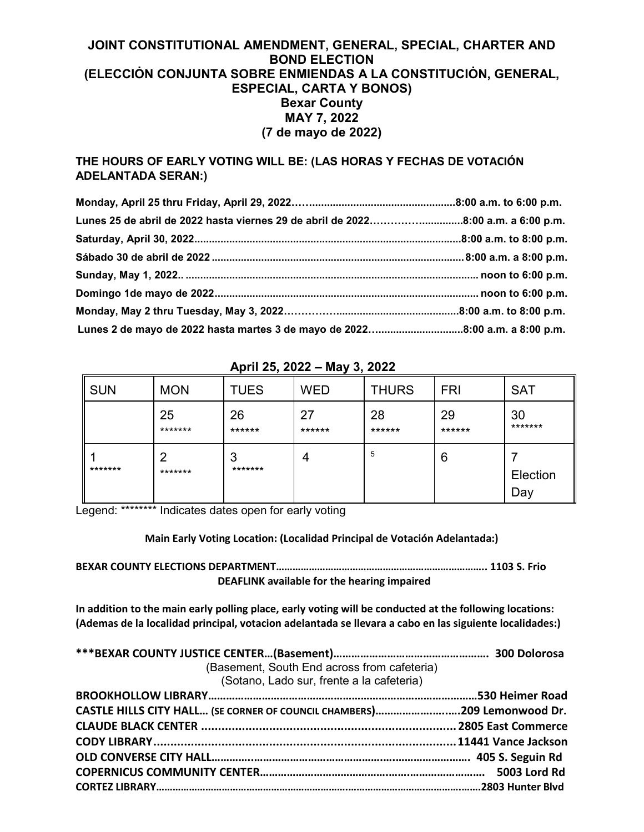## **JOINT CONSTITUTIONAL AMENDMENT, GENERAL, SPECIAL, CHARTER AND BOND ELECTION (ELECCIÓN CONJUNTA SOBRE ENMIENDAS A LA CONSTITUCIÓN, GENERAL, ESPECIAL, CARTA Y BONOS) Bexar County MAY 7, 2022 (7 de mayo de 2022)**

## **THE HOURS OF EARLY VOTING WILL BE: (LAS HORAS Y FECHAS DE VOTACIÓN ADELANTADA SERAN:)**

| Lunes 25 de abril de 2022 hasta viernes 29 de abril de 20228:00 a.m. a 6:00 p.m. |  |
|----------------------------------------------------------------------------------|--|
|                                                                                  |  |
|                                                                                  |  |
|                                                                                  |  |
|                                                                                  |  |
|                                                                                  |  |
|                                                                                  |  |

| <b>SUN</b> | <b>MON</b>    | <b>TUES</b>  | <b>WED</b>   | <b>THURS</b> | <b>FRI</b>   | <b>SAT</b>      |
|------------|---------------|--------------|--------------|--------------|--------------|-----------------|
|            | 25<br>******* | 26<br>****** | 27<br>****** | 28<br>****** | 29<br>****** | 30<br>*******   |
| *******    | 2<br>*******  | 3<br>******* | 4            | 5            | 6            | Election<br>Day |

## **April 25, 2022 – May 3, 2022**

Legend: \*\*\*\*\*\*\*\* Indicates dates open for early voting

**Main Early Voting Location: (Localidad Principal de Votación Adelantada:)**

**BEXAR COUNTY ELECTIONS DEPARTMENT………………………………………………………………….. 1103 S. Frio DEAFLINK available for the hearing impaired**

**In addition to the main early polling place, early voting will be conducted at the following locations: (Ademas de la localidad principal, votacion adelantada se llevara a cabo en las siguiente localidades:)**

| (Basement, South End across from cafeteria)<br>(Sotano, Lado sur, frente a la cafeteria) |  |
|------------------------------------------------------------------------------------------|--|
|                                                                                          |  |
| CASTLE HILLS CITY HALL (SE CORNER OF COUNCIL CHAMBERS)209 Lemonwood Dr.                  |  |
|                                                                                          |  |
|                                                                                          |  |
|                                                                                          |  |
|                                                                                          |  |
|                                                                                          |  |